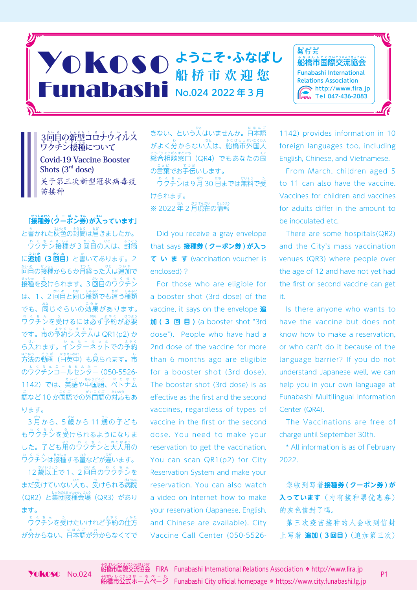## ◆ ● KOSO おうこそ・ふなばし THE STATE THE MERIDIAN TELEVISION OF THE MAIN WARRANT MELTIPLE 船 桥 市 欢 迎 您



**3回自の新型コロナウイルス ウクチン接種について Covid-19 Vaccine Booster Shots (3rd dose)** 关于第三次新型冠状病毒疫 苗接种

**「接 せっしゅ 種券 けん (ク くーぽん ーポン券 けん )が入 はい っています」**

と書かれた灰色の封筒は届きましたか。 ワ わくちん クチン接 せっしゅ 種が 3 回 かい 目 め の人 ひと は、封 ふうとう 筒 に**追 ついか 加(3 回 かい 目 め )**と書 か いてあります。2 か。。……。<br>回目の接種から6か月経った人は追加で <sub>もっしゅ</sub>。。<br>接種を受けられます。3 回自のウクチン |は、1、2 回自と同じ種類でも違う種類 でも、<sup>背</sup>じぐらいの効果があります。 ゃくちん。。<br>ウクチンを受けるには必ず予約が必要 です。市 し の予 よやく 約シ しすてむ ステムは QR1(p2) か – ∴、<br>ら入れます。インターネットでの予約 <sub>ほぼう どうが にほむ!</sub>。<br>方法の動画(日英中)も見られます。市 のウクチンコールセンター (050-5526-1142)では、英 えいご 語や中 ちゅうごくご 国語、ベ べとなむ トナム こ。<br>語など 10 か国語での外国語の対応もあ ります。

っ。<br>3 月から、5 歳から 11 歳の子ども <u>も?とも。。</u><br>もワクチンを受けられるようになりま した。子ども用のワクチンと大人用の ぁくちん サっしゅ 。。。<br>ワクチンは接種する量などが違います。

12 歳以上で 1、2 回自のウクチンを まだ受けていない人も、 受けられる病院 (QR2)と集団接種会場(QR3)があり ます。

。。。。。。<br>ワクチンを受けたいけれど予約の仕方 が分からない、日本語が分からなくてで

きない、という人はいませんか。日本語 がよく分からない人は、船橋市外国人 <sub>もうもなままで。</sub><br>総合相談窓口(QR4)でもあなたの国 。<sub>ことば、こった。</sub><br>の言葉でお手伝いします。 \_。< \_。< 。<br>ワクチンは 9 月 30 日までは無料で受 けられます。

※ 2022 年 2 月現在の情報

Did you receive a gray envelope that says **接種券 ( クーポン券 ) が入っ ています** (vaccination voucher is enclosed) ?

For those who are eligible for a booster shot (3rd dose) of the vaccine, it says on the envelope **追 加 ( 3 回 目 )** (a booster shot "3rd dose"). People who have had a 2nd dose of the vaccine for more than 6 months ago are eligible for a booster shot (3rd dose). The booster shot (3rd dose) is as effective as the first and the second vaccines, regardless of types of vaccine in the first or the second dose. You need to make your reservation to get the vaccination. You can scan QR1(p2) for City Reservation System and make your reservation. You can also watch a video on Internet how to make your reservation (Japanese, English, and Chinese are available). City Vaccine Call Center (050-55261142) provides information in 10 foreign languages too, including English, Chinese, and Vietnamese.

From March, children aged 5 to 11 can also have the vaccine. Vaccines for children and vaccines for adults differ in the amount to be inoculated etc.

There are some hospitals(QR2) and the City's mass vaccination venues (QR3) where people over the age of 12 and have not yet had the first or second vaccine can get it.

Is there anyone who wants to have the vaccine but does not know how to make a reservation, or who can't do it because of the language barrier? If you do not understand Japanese well, we can help you in your own language at Funabashi Multilingual Information Center (QR4).

The Vaccinations are free of charge until September 30th.

\* All information is as of February 2022.

您收到写着**接種券 ( クーポン券 ) が 入っています**(内有接种票优惠券) 的灰色信封了吗。

第三次疫苗接种的人会收到信封 上写着 **追加 ( 3回目 )** (追加第三次)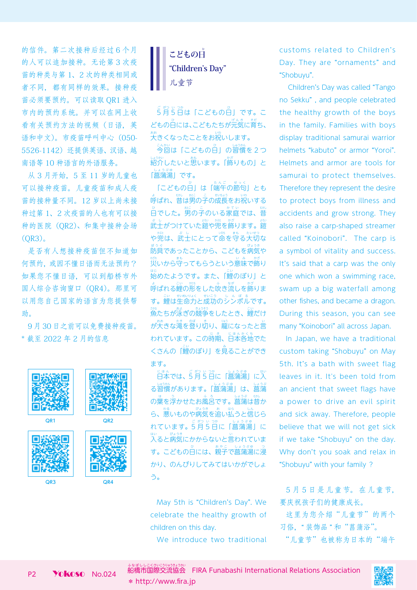的信件。第二次接种后经过 6 个月 的人可以追加接种。无论第 3 次疫 苗的种类与第 1、2 次的种类相同或 者不同,都有同样的效果。接种疫 苗必须要预约。可以读取 QR1 进入 市内的预约系统。并可以在网上收 看有关预约方法的视频(日语,英 语和中文)。市疫苗呼叫中心(050- 5526-1142)还提供英语、汉语、越 南语等 10 种语言的外语服务。

从 3 月开始,5 至 11 岁的儿童也 可以接种疫苗。儿童疫苗和成人疫 苗的接种量不同。12 岁以上尚未接 种过第 1、2 次疫苗的人也有可以接 种的医院(QR2)、和集中接种会场 (QR3)。

是否有人想接种疫苗但不知道如 何预约,或因不懂日语而无法预约? 如果您不懂日语,可以到船桥市外 国人综合咨询窗口(QR4)。那里可 以用您自己国家的语言为您提供帮 助。

9 月 30 日之前可以免费接种疫苗。 \* 截至 2022 年 2 月的信息





5角5日は「こどもの白」です。こ どもの日には、こどもたちが元気に育ち、 大 おお きくなったことをお祝 いわ いします。

゠<sub>んゕぃ</sub><br>今回は「こどもの日」の習慣を2つ い。。<br>紹介したいと思います。「飾りもの」と 「菖 しょうぶゆ 蒲湯」です。

「こどもの日」は「端午の節句」とも ょ<br>呼ばれ、昔は男の子の成長をお祝いする 。<br>日でした。男の子のいる家庭では、昔 <sub>ぶし</sub><br>武士がつけていた鎧や兜を飾ります。鎧 や兜 かぶと は、武 ぶ し 士にとって命 いのち を守 まも る大 たいせつ 切な <sub>ぼうぐ</sub><br>防具であったことから、こどもを病気や 災 わざわ いから守 まも ってもらうという意 い み 味で飾 かざ り 始 はじ めたようです。また、「鯉 こい のぼり」と ょ<br>呼ばれる鯉の形をした吹き流しを飾りま す。鯉は生命力と成功のシンボルです。 魚 さかな たちが泳 およ ぎの競 きょうそう 争をしたとき、鯉 こい だけ が大 おお きな滝 たき を登 のぼ り切 き り、龍 りゅう になったと言 い われています。この時期、日本各地でた くさんの「鯉のぼり」を見ることができ ます。

にほん<br>日本では、5月5日に「菖蒲湯」に入 る習 しゅうかん 慣があります。「菖 しょうぶゆ 蒲湯」は、菖 しょうぶ 蒲 の葉を浮かせたお風呂です。菖蒲は昔か ら、悪いものや病気を追い払うと信じら れています。 こか 3.5.7%<br>ねています。 5月5日に「菖蒲湯」に <sub>ばいると病気にかからないと言われていま<br>入ると病気にかからないと言われていま</sub> す。こどもの日には、親子で菖蒲湯に浸 かり、のんびりしてみてはいかがでしょ う。

May 5th is "Children's Day". We celebrate the healthy growth of children on this day.

We introduce two traditional

customs related to Children's Day. They are "ornaments" and "Shobuyu".

 Children's Day was called "Tango no Sekku" , and people celebrated the healthy growth of the boys in the family. Families with boys display traditional samurai warrior helmets "kabuto" or armor "Yoroi". Helmets and armor are tools for samurai to protect themselves. Therefore they represent the desire to protect boys from illness and accidents and grow strong. They also raise a carp-shaped streamer called "Koinobori". The carp is a symbol of vitality and success. It's said that a carp was the only one which won a swimming race, swam up a big waterfall among other fishes, and became a dragon. During this season, you can see many "Koinobori" all across Japan.

In Japan, we have a traditional custom taking "Shobuyu" on May 5th. It's a bath with sweet flag leaves in it. It's been told from an ancient that sweet flags have a power to drive an evil spirit and sick away. Therefore, people believe that we will not get sick if we take "Shobuyu" on the day. Why don't you soak and relax in "Shobuyu" with your family ?

5 月 5 日 是 儿 童 节。 在 儿 童 节, 要庆祝孩子们的健康成长。

这里为您介绍"儿童节"的两个 习俗," 装饰品 " 和"菖蒲浴"。 "儿童节"也被称为日本的"端午

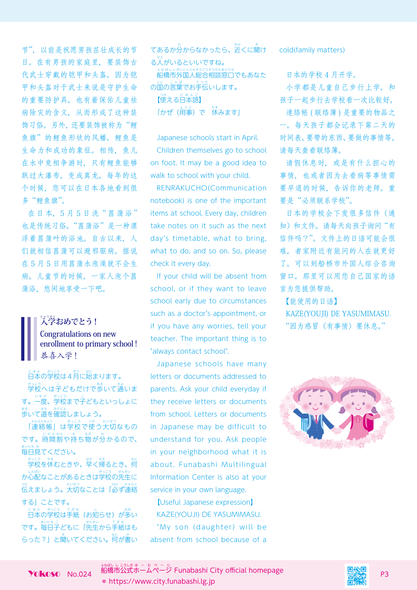节",以前是祝愿男孩茁壮成长的节 日。在有男孩的家庭里,要装饰古 代武士穿戴的铠甲和头盔。因为铠 甲和头盔对于武士来说是守护生命 的重要防护具。也有着保佑儿童祛 病除灾的含义,从而形成了这种装 饰习俗。另外,还要装饰被称为"鲤 鱼旗"的鲤鱼形状的风幡。鲤鱼是 生命力和成功的象征。相传, 鱼儿 在水中竞相争游时,只有鲤鱼能够 跃过大瀑布,变成真龙。每年的这 个时候,您可以在日本各地看到很 多"鲤鱼旗"。

在日本,5月5日洗"菖蒲浴" 也是传统习俗。"菖蒲浴"是一种漂 浮着菖蒲叶的浴池。自古以来,人 们就相信菖蒲可以避邪驱病。据说 在 5 月 5 日用菖蒲水泡澡就不会生 病。儿童节的时候,一家人泡个菖 蒲浴,悠闲地享受一下吧。

## $\mathbb{R}^2$ おめでとう! **Congratulations on new enrollment to primary school !** 恭喜入学!

日 にほん 本の学 がっこう 校は4月 がつ に始 はじ まります。 学 がっこう 校へは子 こ どもだけで歩 ある いて通 かよ いま す。一度、学校まで子どもといっしょに 歩 ある いて道 みち を確 かくにん 認しましょう。

「連 れんらくちょう 絡帳」は学 がっこう 校で使 つか う大 たいせつ 切なもの です。時間割や持ち物が分かるので、 まいにち み<br>毎日見てください。

学 がっこう 校を休 やす むときや、早 はや く帰 かえ るとき、何 なに しんぱい<br>か心配なことがあるときは学校の先生に 。<br>伝えましょう。大切なことは「必ず連絡 する」ことです。

に<sub>ほんのがき</sub>。<br><sub>てある</sub><br>日本の学校は手紙(お知らせ)が多い です。<sup>まいここ</sup>ともに「先生から手紙はも らった?」と聞いてください。何が書い

```
てあるか分からなかったら、近くに聞け
る)<br>る人がいるといいですね。
 船
ふなばしし
橋市外
がいこくじん
国人総
そうごう
合相
そうだん
談窓
まどぐち
口でもあなた
、<sub>にことば、こった</sub>。<br>の国の言葉でお手伝いします。
【使
つか
える日
にほんご
本語】
「かぜ(用事)で 休みます」
```
Japanese schools start in April. Children themselves go to school on foot. It may be a good idea to walk to school with your child.

RENRAKUCHO(Communication notebook) is one of the important items at school. Every day, children take notes on it such as the next day's timetable, what to bring, what to do, and so on. So, please check it every day.

If your child will be absent from school, or if they want to leave school early due to circumstances such as a doctor's appointment, or if you have any worries, tell your teacher. The important thing is to "always contact school".

Japanese schools have many letters or documents addressed to parents. Ask your child everyday if they receive letters or documents from school. Letters or documents in Japanese may be difficult to understand for you. Ask people in your neighborhood what it is about. Funabashi Multilingual Information Center is also at your service in your own language.

【Useful Japanese expression】 KAZE(YOUJI) DE YASUMIMASU. "My son (daughter) will be absent from school because of a cold(family matters)

日本的学校 4 月开学。

小学都是儿童自己步行上学。和 孩子一起步行去学校看一次比较好。

連絡帳 ( 联络簿 ) 是重要的物品之 一。每天孩子都会记录下第二天的 时间表、要带的东西、要做的事情等。 请每天查看联络簿。

请假休息时,或是有什么担心的 事情,也或者因为去看病等事情需 要早退的时候,告诉你的老师。重 要是"必须联系学校"。

日本的学校会下发很多信件(通 知)和文件。请每天向孩子询问"有 信件吗?"。文件上的日语可能会很 难。者家附近有能问的人在就更好 了。可以到船桥市外国人综合咨询 窗口。那里可以用您自己国家的语 言为您提供帮助。

【能使用的日语】 KAZE(YOUJI) DE YASUMIMASU. "因为感冒(有事情)要休息。"